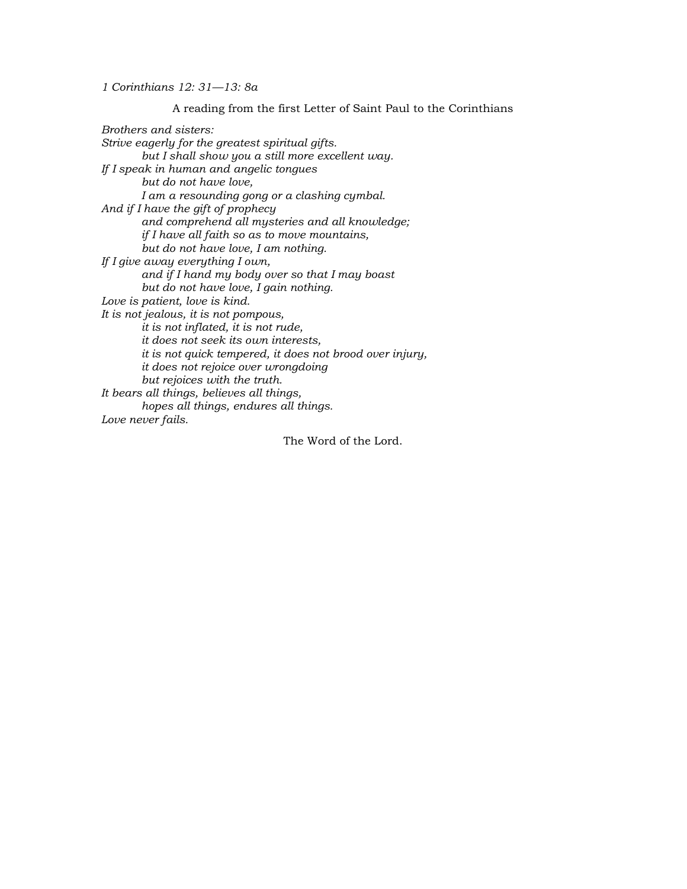*1 Corinthians 12: 31—13: 8a*

A reading from the first Letter of Saint Paul to the Corinthians *Brothers and sisters: Strive eagerly for the greatest spiritual gifts. but I shall show you a still more excellent way. If I speak in human and angelic tongues but do not have love, I am a resounding gong or a clashing cymbal. And if I have the gift of prophecy and comprehend all mysteries and all knowledge; if I have all faith so as to move mountains, but do not have love, I am nothing. If I give away everything I own, and if I hand my body over so that I may boast but do not have love, I gain nothing. Love is patient, love is kind. It is not jealous, it is not pompous, it is not inflated, it is not rude, it does not seek its own interests, it is not quick tempered, it does not brood over injury, it does not rejoice over wrongdoing but rejoices with the truth. It bears all things, believes all things, hopes all things, endures all things. Love never fails.* The Word of the Lord.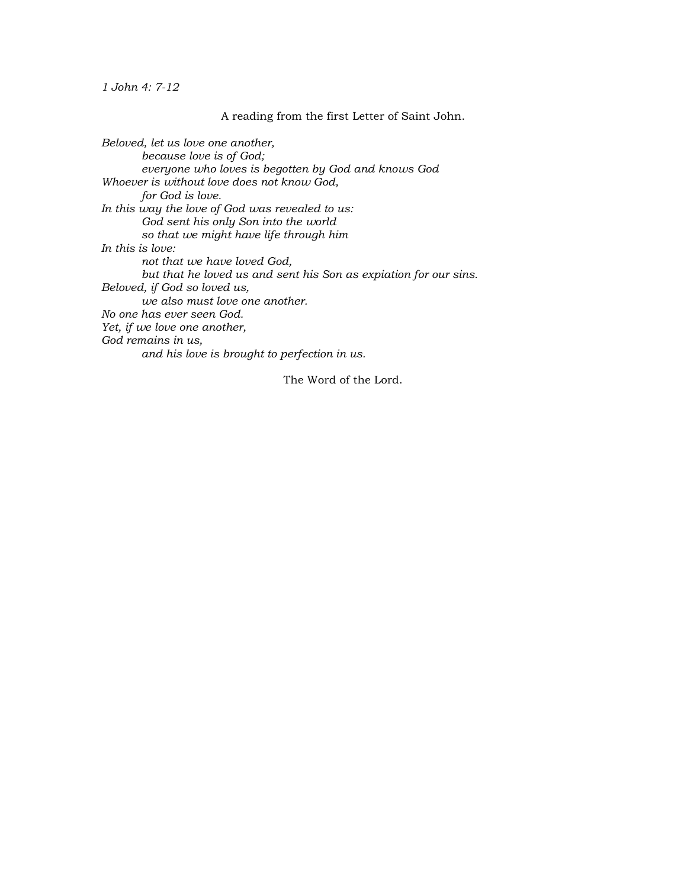*1 John 4: 7-12*

A reading from the first Letter of Saint John.

*Beloved, let us love one another, because love is of God; everyone who loves is begotten by God and knows God Whoever is without love does not know God, for God is love. In this way the love of God was revealed to us: God sent his only Son into the world so that we might have life through him In this is love: not that we have loved God, but that he loved us and sent his Son as expiation for our sins. Beloved, if God so loved us, we also must love one another. No one has ever seen God. Yet, if we love one another, God remains in us, and his love is brought to perfection in us.*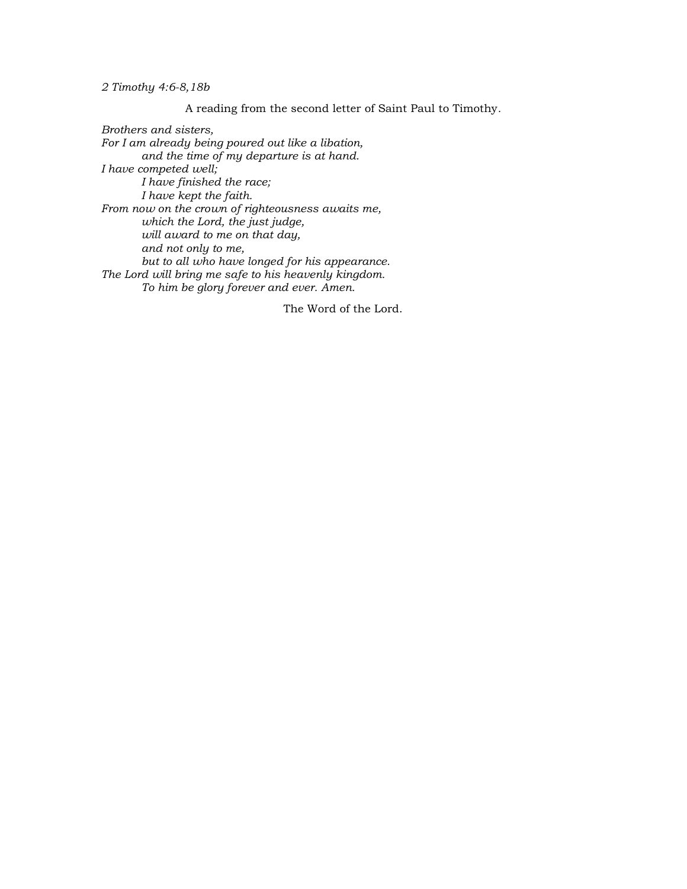*2 Timothy 4:6-8,18b*

A reading from the second letter of Saint Paul to Timothy*.*

*Brothers and sisters, For I am already being poured out like a libation, and the time of my departure is at hand. I have competed well; I have finished the race; I have kept the faith. From now on the crown of righteousness awaits me, which the Lord, the just judge, will award to me on that day, and not only to me, but to all who have longed for his appearance. The Lord will bring me safe to his heavenly kingdom. To him be glory forever and ever. Amen.*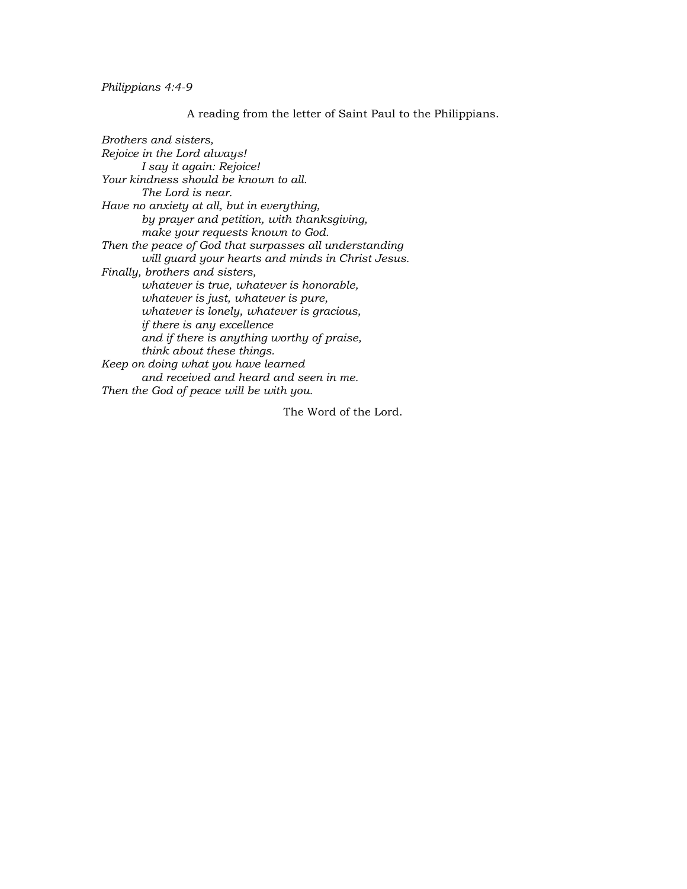## *Philippians 4:4-9*

## A reading from the letter of Saint Paul to the Philippians.

*Brothers and sisters, Rejoice in the Lord always! I say it again: Rejoice! Your kindness should be known to all. The Lord is near. Have no anxiety at all, but in everything, by prayer and petition, with thanksgiving, make your requests known to God. Then the peace of God that surpasses all understanding will guard your hearts and minds in Christ Jesus. Finally, brothers and sisters, whatever is true, whatever is honorable, whatever is just, whatever is pure, whatever is lonely, whatever is gracious, if there is any excellence and if there is anything worthy of praise, think about these things. Keep on doing what you have learned and received and heard and seen in me. Then the God of peace will be with you.*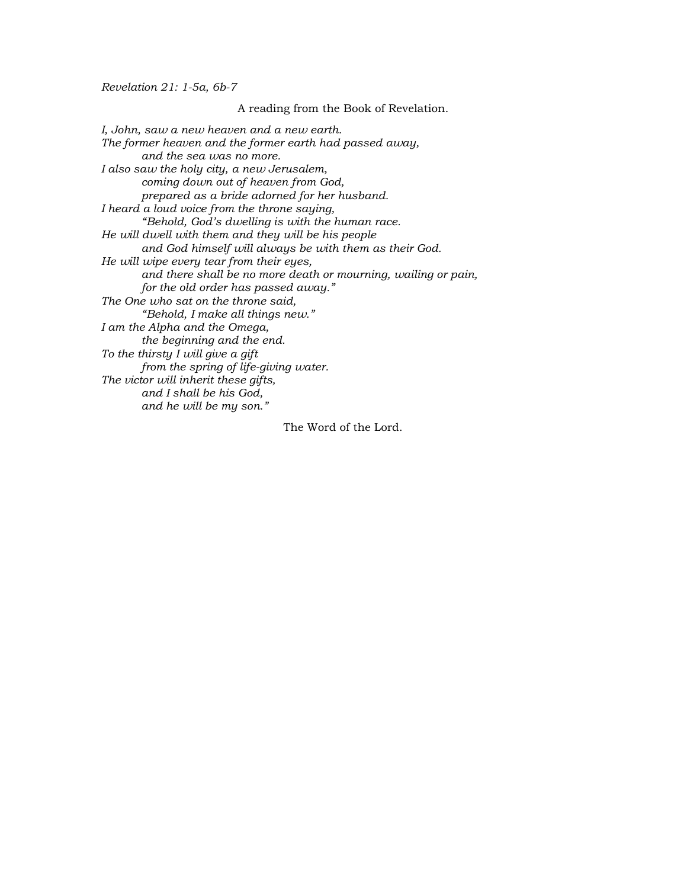*Revelation 21: 1-5a, 6b-7*

A reading from the Book of Revelation. *I, John, saw a new heaven and a new earth. The former heaven and the former earth had passed away, and the sea was no more. I also saw the holy city, a new Jerusalem, coming down out of heaven from God, prepared as a bride adorned for her husband. I heard a loud voice from the throne saying, "Behold, God's dwelling is with the human race. He will dwell with them and they will be his people and God himself will always be with them as their God. He will wipe every tear from their eyes, and there shall be no more death or mourning, wailing or pain, for the old order has passed away." The One who sat on the throne said, "Behold, I make all things new." I am the Alpha and the Omega, the beginning and the end. To the thirsty I will give a gift from the spring of life-giving water. The victor will inherit these gifts, and I shall be his God, and he will be my son."*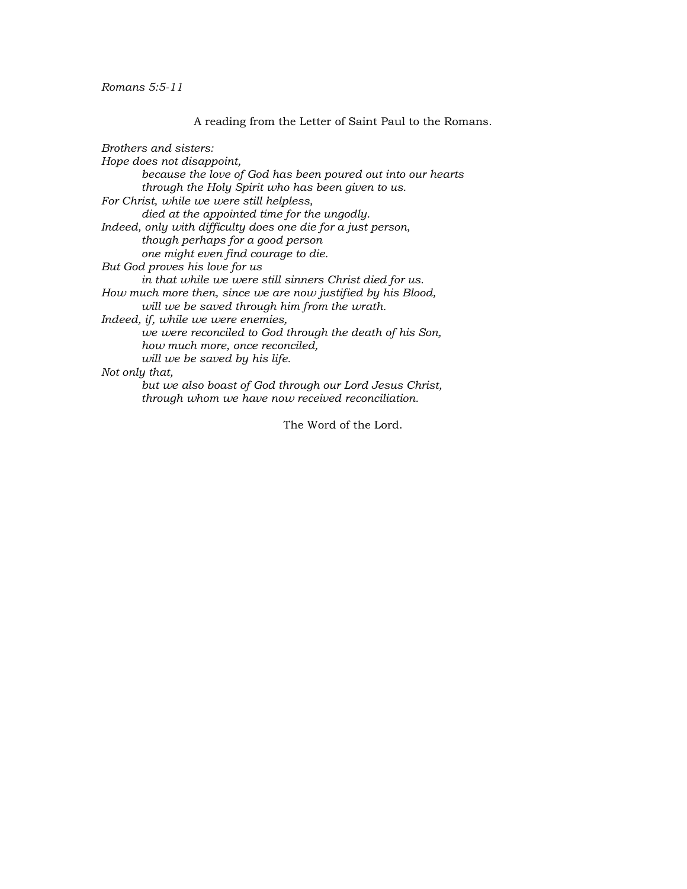*Romans 5:5-11*

A reading from the Letter of Saint Paul to the Romans.

*Brothers and sisters: Hope does not disappoint, because the love of God has been poured out into our hearts through the Holy Spirit who has been given to us. For Christ, while we were still helpless, died at the appointed time for the ungodly. Indeed, only with difficulty does one die for a just person, though perhaps for a good person one might even find courage to die. But God proves his love for us in that while we were still sinners Christ died for us. How much more then, since we are now justified by his Blood, will we be saved through him from the wrath. Indeed, if, while we were enemies, we were reconciled to God through the death of his Son, how much more, once reconciled, will we be saved by his life. Not only that, but we also boast of God through our Lord Jesus Christ, through whom we have now received reconciliation.*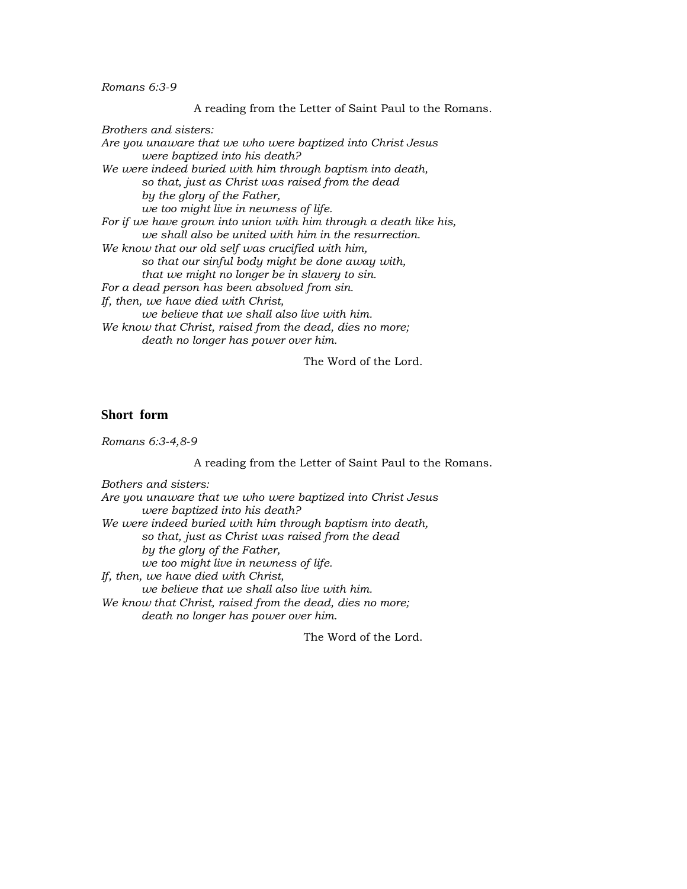*Romans 6:3-9*

A reading from the Letter of Saint Paul to the Romans.

*Brothers and sisters: Are you unaware that we who were baptized into Christ Jesus were baptized into his death? We were indeed buried with him through baptism into death, so that, just as Christ was raised from the dead by the glory of the Father, we too might live in newness of life. For if we have grown into union with him through a death like his, we shall also be united with him in the resurrection. We know that our old self was crucified with him, so that our sinful body might be done away with, that we might no longer be in slavery to sin. For a dead person has been absolved from sin. If, then, we have died with Christ, we believe that we shall also live with him. We know that Christ, raised from the dead, dies no more; death no longer has power over him.*

The Word of the Lord.

## **Short form**

*Romans 6:3-4,8-9*

A reading from the Letter of Saint Paul to the Romans.

*Bothers and sisters: Are you unaware that we who were baptized into Christ Jesus were baptized into his death? We were indeed buried with him through baptism into death, so that, just as Christ was raised from the dead by the glory of the Father, we too might live in newness of life. If, then, we have died with Christ, we believe that we shall also live with him. We know that Christ, raised from the dead, dies no more; death no longer has power over him.*